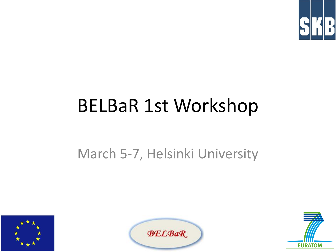

### BELBaR 1st Workshop

#### March 5-7, Helsinki University





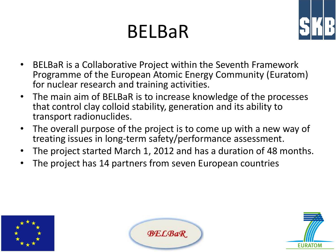## BELBaR



- BELBaR is a Collaborative Project within the Seventh Framework Programme of the European Atomic Energy Community (Euratom) for nuclear research and training activities.
- The main aim of BELBaR is to increase knowledge of the processes that control clay colloid stability, generation and its ability to transport radionuclides.
- The overall purpose of the project is to come up with a new way of treating issues in long-term safety/performance assessment.
- The project started March 1, 2012 and has a duration of 48 months.
- The project has 14 partners from seven European countries





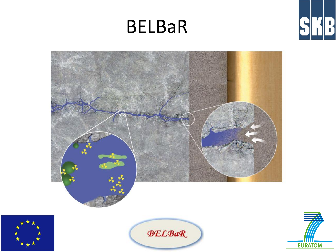### BELBaR









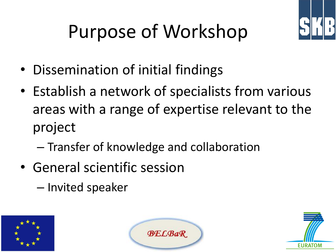

# Purpose of Workshop

- Dissemination of initial findings
- Establish a network of specialists from various areas with a range of expertise relevant to the project
	- Transfer of knowledge and collaboration
- General scientific session
	- Invited speaker





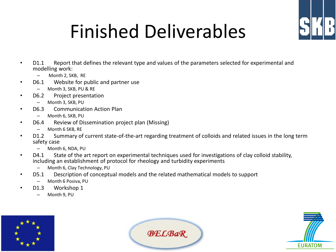

# Finished Deliverables

- D1.1 Report that defines the relevant type and values of the parameters selected for experimental and modelling work:
	- Month 2, SKB, RE
- D6.1 Website for public and partner use
	- Month 3, SKB, PU & RE
- D6.2 Project presentation
	- Month 3, SKB, PU
- D6.3 Communication Action Plan
	- Month 6, SKB, PU
- D6.4 Review of Dissemination project plan (Missing)
	- Month 6 SKB, RE
- D1.2 Summary of current state-of-the-art regarding treatment of colloids and related issues in the long term safety case
	- Month 6, NDA, PU
- D4.1 State of the art report on experimental techniques used for investigations of clay colloid stability, including an establishment of protocol for rheology and turbidity experiments
	- Month 6, Clay Technology, PU
- D5.1 Description of conceptual models and the related mathematical models to support
	- Month 6 Posiva, PU
- D1.3 Workshop 1
	- Month 9, PU





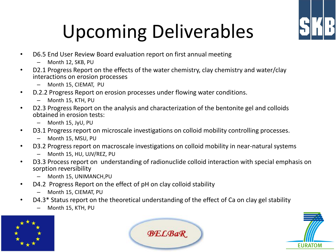

# Upcoming Deliverables

- D6.5 End User Review Board evaluation report on first annual meeting
	- Month 12, SKB, PU
- D2.1 Progress Report on the effects of the water chemistry, clay chemistry and water/clay interactions on erosion processes
	- Month 15, CIEMAT, PU
- D.2.2 Progress Report on erosion processes under flowing water conditions.
	- Month 15, KTH, PU
- D2.3 Progress Report on the analysis and characterization of the bentonite gel and colloids obtained in erosion tests:
	- Month 15, JyU, PU
- D3.1 Progress report on microscale investigations on colloid mobility controlling processes.
	- Month 15, MSU, PU
- D3.2 Progress report on macroscale investigations on colloid mobility in near-natural systems
	- Month 15, HU, UJV/REZ, PU
- D3.3 Process report on understanding of radionuclide colloid interaction with special emphasis on sorption reversibility
	- Month 15, UNIMANCH,PU
- D4.2 Progress Report on the effect of pH on clay colloid stability
	- Month 15, CIEMAT, PU
- D4.3\* Status report on the theoretical understanding of the effect of Ca on clay gel stability
	- Month 15, KTH, PU